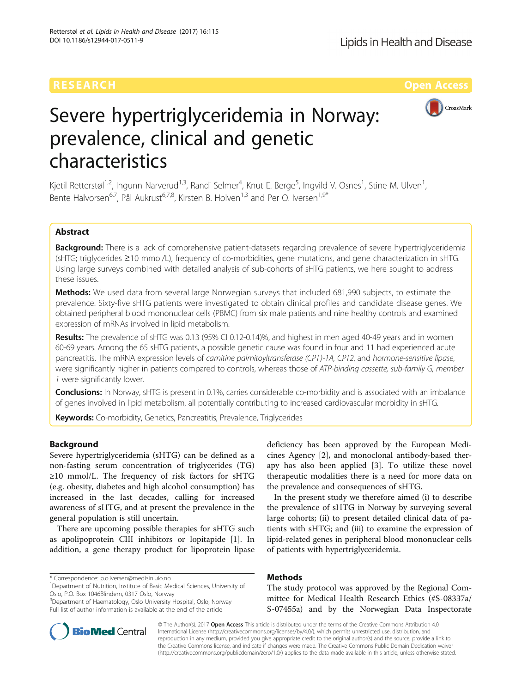

# Severe hypertriglyceridemia in Norway: prevalence, clinical and genetic characteristics

Kjetil Retterstøl<sup>1,2</sup>, Ingunn Narverud<sup>1,3</sup>, Randi Selmer<sup>4</sup>, Knut E. Berge<sup>5</sup>, Ingvild V. Osnes<sup>1</sup>, Stine M. Ulven<sup>1</sup> , Bente Halvorsen<sup>6,7</sup>, Pål Aukrust<sup>6,7,8</sup>, Kirsten B. Holven<sup>1,3</sup> and Per O. Iversen<sup>1,9\*</sup>

## Abstract

Background: There is a lack of comprehensive patient-datasets regarding prevalence of severe hypertriglyceridemia (sHTG; triglycerides ≥10 mmol/L), frequency of co-morbidities, gene mutations, and gene characterization in sHTG. Using large surveys combined with detailed analysis of sub-cohorts of sHTG patients, we here sought to address these issues.

**Methods:** We used data from several large Norwegian surveys that included 681,990 subjects, to estimate the prevalence. Sixty-five sHTG patients were investigated to obtain clinical profiles and candidate disease genes. We obtained peripheral blood mononuclear cells (PBMC) from six male patients and nine healthy controls and examined expression of mRNAs involved in lipid metabolism.

Results: The prevalence of sHTG was 0.13 (95% CI 0.12-0.14)%, and highest in men aged 40-49 years and in women 60-69 years. Among the 65 sHTG patients, a possible genetic cause was found in four and 11 had experienced acute pancreatitis. The mRNA expression levels of carnitine palmitoyltransferase (CPT)-1A, CPT2, and hormone-sensitive lipase, were significantly higher in patients compared to controls, whereas those of ATP-binding cassette, sub-family G, member 1 were significantly lower.

**Conclusions:** In Norway, sHTG is present in 0.1%, carries considerable co-morbidity and is associated with an imbalance of genes involved in lipid metabolism, all potentially contributing to increased cardiovascular morbidity in sHTG.

Keywords: Co-morbidity, Genetics, Pancreatitis, Prevalence, Triglycerides

### Background

Severe hypertriglyceridemia (sHTG) can be defined as a non-fasting serum concentration of triglycerides (TG)  $\geq$ 10 mmol/L. The frequency of risk factors for sHTG (e.g. obesity, diabetes and high alcohol consumption) has increased in the last decades, calling for increased awareness of sHTG, and at present the prevalence in the general population is still uncertain.

There are upcoming possible therapies for sHTG such as apolipoprotein CIII inhibitors or lopitapide [\[1\]](#page-6-0). In addition, a gene therapy product for lipoprotein lipase

\* Correspondence: [p.o.iversen@medisin.uio.no](mailto:p.o.iversen@medisin.uio.no) <sup>1</sup>

9 Department of Haematology, Oslo University Hospital, Oslo, Norway Full list of author information is available at the end of the article

deficiency has been approved by the European Medicines Agency [[2\]](#page-7-0), and monoclonal antibody-based therapy has also been applied [\[3](#page-7-0)]. To utilize these novel therapeutic modalities there is a need for more data on the prevalence and consequences of sHTG.

In the present study we therefore aimed (i) to describe the prevalence of sHTG in Norway by surveying several large cohorts; (ii) to present detailed clinical data of patients with sHTG; and (iii) to examine the expression of lipid-related genes in peripheral blood mononuclear cells of patients with hypertriglyceridemia.

### Methods

The study protocol was approved by the Regional Committee for Medical Health Research Ethics (#S-08337a/ S-07455a) and by the Norwegian Data Inspectorate



© The Author(s). 2017 Open Access This article is distributed under the terms of the Creative Commons Attribution 4.0 International License [\(http://creativecommons.org/licenses/by/4.0/](http://creativecommons.org/licenses/by/4.0/)), which permits unrestricted use, distribution, and reproduction in any medium, provided you give appropriate credit to the original author(s) and the source, provide a link to the Creative Commons license, and indicate if changes were made. The Creative Commons Public Domain Dedication waiver [\(http://creativecommons.org/publicdomain/zero/1.0/](http://creativecommons.org/publicdomain/zero/1.0/)) applies to the data made available in this article, unless otherwise stated.

<sup>&</sup>lt;sup>1</sup>Department of Nutrition, Institute of Basic Medical Sciences, University of Oslo, P.O. Box 1046Blindern, 0317 Oslo, Norway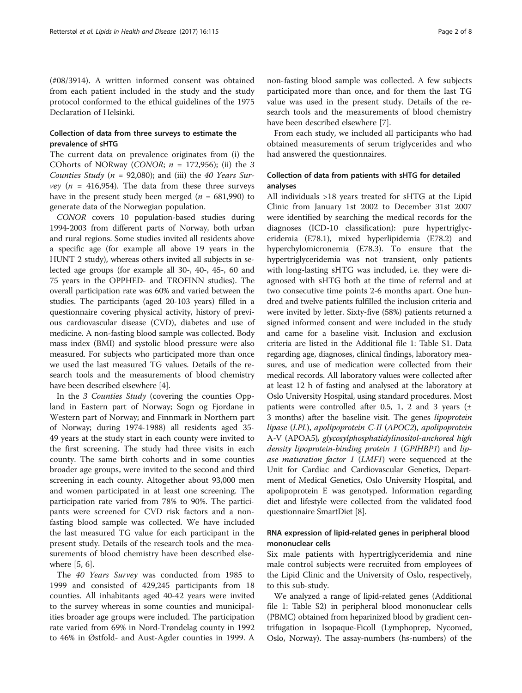(#08/3914). A written informed consent was obtained from each patient included in the study and the study protocol conformed to the ethical guidelines of the 1975 Declaration of Helsinki.

### Collection of data from three surveys to estimate the prevalence of sHTG

The current data on prevalence originates from (i) the COhorts of NORway (CONOR;  $n = 172,956$ ); (ii) the 3 Counties Study ( $n = 92,080$ ); and (iii) the 40 Years Survey ( $n = 416,954$ ). The data from these three surveys have in the present study been merged ( $n = 681,990$ ) to generate data of the Norwegian population.

CONOR covers 10 population-based studies during 1994-2003 from different parts of Norway, both urban and rural regions. Some studies invited all residents above a specific age (for example all above 19 years in the HUNT 2 study), whereas others invited all subjects in selected age groups (for example all 30-, 40-, 45-, 60 and 75 years in the OPPHED- and TROFINN studies). The overall participation rate was 60% and varied between the studies. The participants (aged 20-103 years) filled in a questionnaire covering physical activity, history of previous cardiovascular disease (CVD), diabetes and use of medicine. A non-fasting blood sample was collected. Body mass index (BMI) and systolic blood pressure were also measured. For subjects who participated more than once we used the last measured TG values. Details of the research tools and the measurements of blood chemistry have been described elsewhere [\[4](#page-7-0)].

In the 3 Counties Study (covering the counties Oppland in Eastern part of Norway; Sogn og Fjordane in Western part of Norway; and Finnmark in Northern part of Norway; during 1974-1988) all residents aged 35- 49 years at the study start in each county were invited to the first screening. The study had three visits in each county. The same birth cohorts and in some counties broader age groups, were invited to the second and third screening in each county. Altogether about 93,000 men and women participated in at least one screening. The participation rate varied from 78% to 90%. The participants were screened for CVD risk factors and a nonfasting blood sample was collected. We have included the last measured TG value for each participant in the present study. Details of the research tools and the measurements of blood chemistry have been described elsewhere [\[5](#page-7-0), [6](#page-7-0)].

The 40 Years Survey was conducted from 1985 to 1999 and consisted of 429,245 participants from 18 counties. All inhabitants aged 40-42 years were invited to the survey whereas in some counties and municipalities broader age groups were included. The participation rate varied from 69% in Nord-Trøndelag county in 1992 to 46% in Østfold- and Aust-Agder counties in 1999. A

non-fasting blood sample was collected. A few subjects participated more than once, and for them the last TG value was used in the present study. Details of the research tools and the measurements of blood chemistry have been described elsewhere [\[7\]](#page-7-0).

From each study, we included all participants who had obtained measurements of serum triglycerides and who had answered the questionnaires.

### Collection of data from patients with sHTG for detailed analyses

All individuals >18 years treated for sHTG at the Lipid Clinic from January 1st 2002 to December 31st 2007 were identified by searching the medical records for the diagnoses (ICD-10 classification): pure hypertriglyceridemia (E78.1), mixed hyperlipidemia (E78.2) and hyperchylomicronemia (E78.3). To ensure that the hypertriglyceridemia was not transient, only patients with long-lasting sHTG was included, i.e. they were diagnosed with sHTG both at the time of referral and at two consecutive time points 2-6 months apart. One hundred and twelve patients fulfilled the inclusion criteria and were invited by letter. Sixty-five (58%) patients returned a signed informed consent and were included in the study and came for a baseline visit. Inclusion and exclusion criteria are listed in the Additional file [1:](#page-6-0) Table S1. Data regarding age, diagnoses, clinical findings, laboratory measures, and use of medication were collected from their medical records. All laboratory values were collected after at least 12 h of fasting and analysed at the laboratory at Oslo University Hospital, using standard procedures. Most patients were controlled after 0.5, 1, 2 and 3 years  $(\pm$ 3 months) after the baseline visit. The genes lipoprotein lipase (LPL), apolipoprotein C-II (APOC2), apolipoprotein A-V (APOA5), glycosylphosphatidylinositol-anchored high density lipoprotein-binding protein 1 (GPIHBP1) and lipase maturation factor  $1$  (LMF1) were sequenced at the Unit for Cardiac and Cardiovascular Genetics, Department of Medical Genetics, Oslo University Hospital, and apolipoprotein E was genotyped. Information regarding diet and lifestyle were collected from the validated food questionnaire SmartDiet [\[8](#page-7-0)].

### RNA expression of lipid-related genes in peripheral blood mononuclear cells

Six male patients with hypertriglyceridemia and nine male control subjects were recruited from employees of the Lipid Clinic and the University of Oslo, respectively, to this sub-study.

We analyzed a range of lipid-related genes (Additional file [1](#page-6-0): Table S2) in peripheral blood mononuclear cells (PBMC) obtained from heparinized blood by gradient centrifugation in Isopaque-Ficoll (Lymphoprep, Nycomed, Oslo, Norway). The assay-numbers (hs-numbers) of the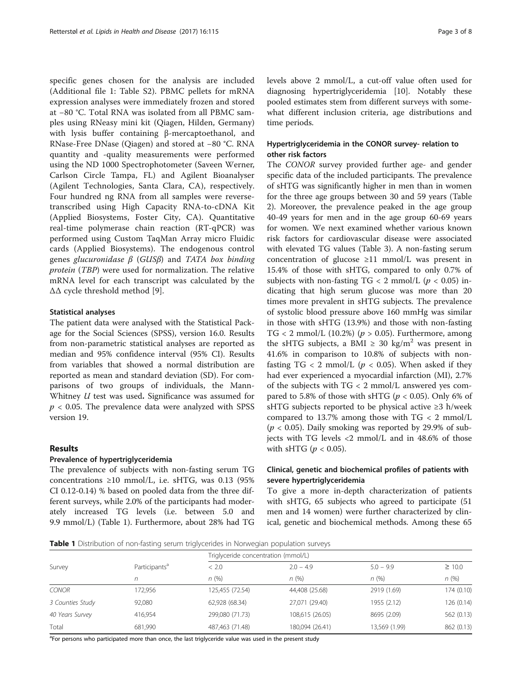specific genes chosen for the analysis are included (Additional file [1](#page-6-0): Table S2). PBMC pellets for mRNA expression analyses were immediately frozen and stored at −80 °C. Total RNA was isolated from all PBMC samples using RNeasy mini kit (Qiagen, Hilden, Germany) with lysis buffer containing β-mercaptoethanol, and RNase-Free DNase (Qiagen) and stored at −80 °C. RNA quantity and -quality measurements were performed using the ND 1000 Spectrophotometer (Saveen Werner, Carlson Circle Tampa, FL) and Agilent Bioanalyser (Agilent Technologies, Santa Clara, CA), respectively. Four hundred ng RNA from all samples were reversetranscribed using High Capacity RNA-to-cDNA Kit (Applied Biosystems, Foster City, CA). Quantitative real-time polymerase chain reaction (RT-qPCR) was performed using Custom TaqMan Array micro Fluidic cards (Applied Biosystems). The endogenous control genes glucuronidase  $β$  (GUS $β$ ) and TATA box binding protein (TBP) were used for normalization. The relative mRNA level for each transcript was calculated by the ΔΔ cycle threshold method [[9\]](#page-7-0).

### Statistical analyses

The patient data were analysed with the Statistical Package for the Social Sciences (SPSS), version 16.0. Results from non-parametric statistical analyses are reported as median and 95% confidence interval (95% CI). Results from variables that showed a normal distribution are reported as mean and standard deviation (SD). For comparisons of two groups of individuals, the Mann-Whitney U test was used. Significance was assumed for  $p < 0.05$ . The prevalence data were analyzed with SPSS version 19.

### Results

#### Prevalence of hypertriglyceridemia

The prevalence of subjects with non-fasting serum TG concentrations  $\geq 10$  mmol/L, i.e. sHTG, was 0.13 (95%) CI 0.12-0.14) % based on pooled data from the three different surveys, while 2.0% of the participants had moderately increased TG levels (i.e. between 5.0 and 9.9 mmol/L) (Table 1). Furthermore, about 28% had TG levels above 2 mmol/L, a cut-off value often used for diagnosing hypertriglyceridemia [[10\]](#page-7-0). Notably these pooled estimates stem from different surveys with somewhat different inclusion criteria, age distributions and time periods.

### Hypertriglyceridemia in the CONOR survey- relation to other risk factors

The CONOR survey provided further age- and gender specific data of the included participants. The prevalence of sHTG was significantly higher in men than in women for the three age groups between 30 and 59 years (Table [2\)](#page-3-0). Moreover, the prevalence peaked in the age group 40-49 years for men and in the age group 60-69 years for women. We next examined whether various known risk factors for cardiovascular disease were associated with elevated TG values (Table [3](#page-3-0)). A non-fasting serum concentration of glucose ≥11 mmol/L was present in 15.4% of those with sHTG, compared to only 0.7% of subjects with non-fasting  $TG < 2$  mmol/L ( $p < 0.05$ ) indicating that high serum glucose was more than 20 times more prevalent in sHTG subjects. The prevalence of systolic blood pressure above 160 mmHg was similar in those with sHTG (13.9%) and those with non-fasting TG < 2 mmol/L (10.2%) ( $p > 0.05$ ). Furthermore, among the sHTG subjects, a BMI  $\geq$  30 kg/m<sup>2</sup> was present in 41.6% in comparison to 10.8% of subjects with nonfasting  $TG < 2$  mmol/L ( $p < 0.05$ ). When asked if they had ever experienced a myocardial infarction (MI), 2.7% of the subjects with TG < 2 mmol/L answered yes compared to 5.8% of those with sHTG ( $p < 0.05$ ). Only 6% of sHTG subjects reported to be physical active ≥3 h/week compared to 13.7% among those with  $TG < 2$  mmol/L  $(p < 0.05)$ . Daily smoking was reported by 29.9% of subjects with TG levels <2 mmol/L and in 48.6% of those with sHTG ( $p < 0.05$ ).

### Clinical, genetic and biochemical profiles of patients with severe hypertriglyceridemia

To give a more in-depth characterization of patients with sHTG, 65 subjects who agreed to participate (51 men and 14 women) were further characterized by clinical, genetic and biochemical methods. Among these 65

Table 1 Distribution of non-fasting serum triglycerides in Norwegian population surveys

|                  |                           | Triglyceride concentration (mmol/L) |                 |               |             |  |  |
|------------------|---------------------------|-------------------------------------|-----------------|---------------|-------------|--|--|
| Survey           | Participants <sup>a</sup> | < 2.0                               | $2.0 - 4.9$     | $5.0 - 9.9$   | $\geq$ 10.0 |  |  |
|                  |                           | n(%)                                | n(%)            | n(%)          | n(%)        |  |  |
| <b>CONOR</b>     | 172,956                   | 125,455 (72.54)                     | 44,408 (25.68)  | 2919 (1.69)   | 174 (0.10)  |  |  |
| 3 Counties Study | 92,080                    | 62,928 (68.34)                      | 27,071 (29.40)  | 1955 (2.12)   | 126 (0.14)  |  |  |
| 40 Years Survey  | 416,954                   | 299,080 (71.73)                     | 108,615 (26.05) | 8695 (2.09)   | 562 (0.13)  |  |  |
| Total            | 681,990                   | 487,463 (71.48)                     | 180,094 (26.41) | 13,569 (1.99) | 862 (0.13)  |  |  |

<sup>a</sup>For persons who participated more than once, the last triglyceride value was used in the present study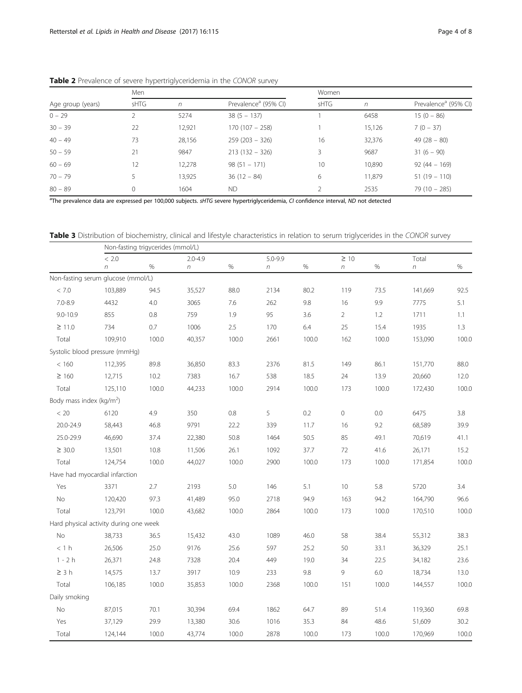|                   | Men  |        |                                  | Women |            |                                  |  |  |
|-------------------|------|--------|----------------------------------|-------|------------|----------------------------------|--|--|
| Age group (years) | sHTG | n      | Prevalence <sup>a</sup> (95% CI) | sHTG  | $\sqrt{n}$ | Prevalence <sup>a</sup> (95% CI) |  |  |
| $0 - 29$          |      | 5274   | $38(5 - 137)$                    |       | 6458       | $15(0 - 86)$                     |  |  |
| $30 - 39$         | 22   | 12,921 | $170(107 - 258)$                 |       | 15,126     | $7(0 - 37)$                      |  |  |
| $40 - 49$         | 73   | 28,156 | $259(203 - 326)$                 | 16    | 32,376     | $49(28 - 80)$                    |  |  |
| $50 - 59$         | 21   | 9847   | $213(132 - 326)$                 | 3.    | 9687       | $31(6 - 90)$                     |  |  |
| $60 - 69$         | 12   | 12,278 | $98(51 - 171)$                   | 10    | 10,890     | $92(44 - 169)$                   |  |  |
| $70 - 79$         |      | 13,925 | $36(12 - 84)$                    | 6     | 11,879     | $51(19 - 110)$                   |  |  |
| $80 - 89$         | 0    | 1604   | <b>ND</b>                        |       | 2535       | $79(10 - 285)$                   |  |  |

<span id="page-3-0"></span>Table 2 Prevalence of severe hypertriglyceridemia in the CONOR survey

<sup>a</sup>The prevalence data are expressed per 100,000 subjects. sHTG severe hypertriglyceridemia, CI confidence interval, ND not detected

Table 3 Distribution of biochemistry, clinical and lifestyle characteristics in relation to serum triglycerides in the CONOR survey

|                                     |                                        | Non-fasting trigycerides (mmol/L) |             |       |             |         |                  |         |                  |       |
|-------------------------------------|----------------------------------------|-----------------------------------|-------------|-------|-------------|---------|------------------|---------|------------------|-------|
|                                     | < 2.0                                  |                                   | $2.0 - 4.9$ |       | $5.0 - 9.9$ |         | $\geq 10$        |         | Total            |       |
|                                     | $\eta$                                 | $\%$                              | $\eta$      | $\%$  | $\eta$      | $\%$    | $\boldsymbol{n}$ | $\%$    | $\boldsymbol{n}$ | $\%$  |
|                                     | Non-fasting serum glucose (mmol/L)     |                                   |             |       |             |         |                  |         |                  |       |
| $<\,7.0$                            | 103,889                                | 94.5                              | 35,527      | 88.0  | 2134        | 80.2    | 119              | 73.5    | 141,669          | 92.5  |
| $7.0 - 8.9$                         | 4432                                   | 4.0                               | 3065        | 7.6   | 262         | 9.8     | 16               | 9.9     | 7775             | 5.1   |
| $9.0 - 10.9$                        | 855                                    | 0.8                               | 759         | 1.9   | 95          | 3.6     | $\overline{2}$   | 1.2     | 1711             | 1.1   |
| $\geq$ 11.0                         | 734                                    | 0.7                               | 1006        | 2.5   | 170         | $6.4\,$ | 25               | 15.4    | 1935             | 1.3   |
| Total                               | 109,910                                | 100.0                             | 40,357      | 100.0 | 2661        | 100.0   | 162              | 100.0   | 153,090          | 100.0 |
|                                     | Systolic blood pressure (mmHg)         |                                   |             |       |             |         |                  |         |                  |       |
| < 160                               | 112,395                                | 89.8                              | 36,850      | 83.3  | 2376        | 81.5    | 149              | 86.1    | 151,770          | 88.0  |
| $\geq 160$                          | 12,715                                 | 10.2                              | 7383        | 16.7  | 538         | 18.5    | 24               | 13.9    | 20,660           | 12.0  |
| Total                               | 125,110                                | 100.0                             | 44,233      | 100.0 | 2914        | 100.0   | 173              | 100.0   | 172,430          | 100.0 |
| Body mass index ( $\text{kg/m}^2$ ) |                                        |                                   |             |       |             |         |                  |         |                  |       |
| < 20                                | 6120                                   | 4.9                               | 350         | 0.8   | 5           | 0.2     | $\circ$          | 0.0     | 6475             | 3.8   |
| 20.0-24.9                           | 58,443                                 | 46.8                              | 9791        | 22.2  | 339         | 11.7    | 16               | 9.2     | 68,589           | 39.9  |
| 25.0-29.9                           | 46,690                                 | 37.4                              | 22,380      | 50.8  | 1464        | 50.5    | 85               | 49.1    | 70,619           | 41.1  |
| $\geq 30.0$                         | 13,501                                 | 10.8                              | 11,506      | 26.1  | 1092        | 37.7    | 72               | 41.6    | 26,171           | 15.2  |
| Total                               | 124,754                                | 100.0                             | 44,027      | 100.0 | 2900        | 100.0   | 173              | 100.0   | 171,854          | 100.0 |
|                                     | Have had myocardial infarction         |                                   |             |       |             |         |                  |         |                  |       |
| Yes                                 | 3371                                   | 2.7                               | 2193        | 5.0   | 146         | 5.1     | 10               | 5.8     | 5720             | 3.4   |
| No                                  | 120,420                                | 97.3                              | 41,489      | 95.0  | 2718        | 94.9    | 163              | 94.2    | 164,790          | 96.6  |
| Total                               | 123,791                                | 100.0                             | 43,682      | 100.0 | 2864        | 100.0   | 173              | 100.0   | 170,510          | 100.0 |
|                                     | Hard physical activity during one week |                                   |             |       |             |         |                  |         |                  |       |
| No                                  | 38,733                                 | 36.5                              | 15,432      | 43.0  | 1089        | 46.0    | 58               | 38.4    | 55,312           | 38.3  |
| < 1 h                               | 26,506                                 | 25.0                              | 9176        | 25.6  | 597         | 25.2    | 50               | 33.1    | 36,329           | 25.1  |
| $1 - 2h$                            | 26,371                                 | 24.8                              | 7328        | 20.4  | 449         | 19.0    | 34               | 22.5    | 34,182           | 23.6  |
| $\geq 3$ h                          | 14,575                                 | 13.7                              | 3917        | 10.9  | 233         | 9.8     | 9                | $6.0\,$ | 18,734           | 13.0  |
| Total                               | 106,185                                | 100.0                             | 35,853      | 100.0 | 2368        | 100.0   | 151              | 100.0   | 144,557          | 100.0 |
| Daily smoking                       |                                        |                                   |             |       |             |         |                  |         |                  |       |
| No                                  | 87,015                                 | 70.1                              | 30,394      | 69.4  | 1862        | 64.7    | 89               | 51.4    | 119,360          | 69.8  |
| Yes                                 | 37,129                                 | 29.9                              | 13,380      | 30.6  | 1016        | 35.3    | 84               | 48.6    | 51,609           | 30.2  |
| Total                               | 124,144                                | 100.0                             | 43,774      | 100.0 | 2878        | 100.0   | 173              | 100.0   | 170,969          | 100.0 |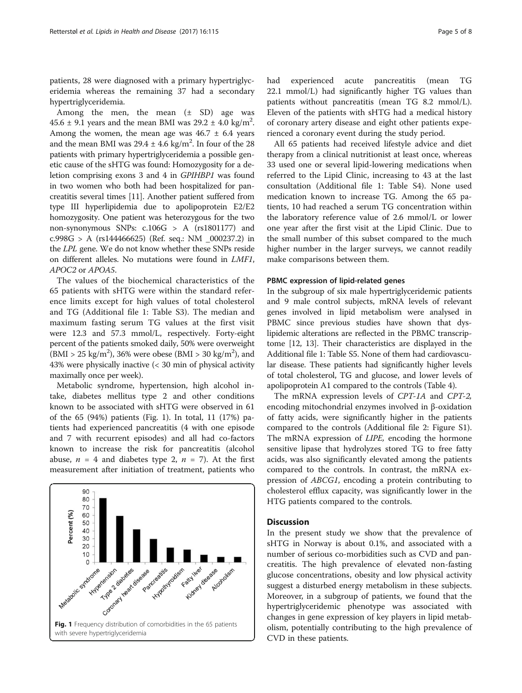patients, 28 were diagnosed with a primary hypertriglyceridemia whereas the remaining 37 had a secondary hypertriglyceridemia.

Among the men, the mean  $(\pm$  SD) age was  $45.6 \pm 9.1$  years and the mean BMI was  $29.2 \pm 4.0$  kg/m<sup>2</sup>. Among the women, the mean age was  $46.7 \pm 6.4$  years and the mean BMI was  $29.4 \pm 4.6$  kg/m<sup>2</sup>. In four of the 28 patients with primary hypertriglyceridemia a possible genetic cause of the sHTG was found: Homozygosity for a deletion comprising exons 3 and 4 in GPIHBP1 was found in two women who both had been hospitalized for pancreatitis several times [[11\]](#page-7-0). Another patient suffered from type III hyperlipidemia due to apolipoprotein E2/E2 homozygosity. One patient was heterozygous for the two non-synonymous SNPs: c.106G > A (rs1801177) and c.998G > A (rs144466625) (Ref. seq.: NM \_000237.2) in the LPL gene. We do not know whether these SNPs reside on different alleles. No mutations were found in LMF1, APOC2 or APOA5.

The values of the biochemical characteristics of the 65 patients with sHTG were within the standard reference limits except for high values of total cholesterol and TG (Additional file [1](#page-6-0): Table S3). The median and maximum fasting serum TG values at the first visit were 12.3 and 57.3 mmol/L, respectively. Forty-eight percent of the patients smoked daily, 50% were overweight  $(BMI > 25 \text{ kg/m}^2)$ , 36% were obese (BMI > 30 kg/m<sup>2</sup>), and 43% were physically inactive (< 30 min of physical activity maximally once per week).

Metabolic syndrome, hypertension, high alcohol intake, diabetes mellitus type 2 and other conditions known to be associated with sHTG were observed in 61 of the 65 (94%) patients (Fig. 1). In total, 11 (17%) patients had experienced pancreatitis (4 with one episode and 7 with recurrent episodes) and all had co-factors known to increase the risk for pancreatitis (alcohol abuse,  $n = 4$  and diabetes type 2,  $n = 7$ ). At the first measurement after initiation of treatment, patients who



had experienced acute pancreatitis (mean TG 22.1 mmol/L) had significantly higher TG values than patients without pancreatitis (mean TG 8.2 mmol/L). Eleven of the patients with sHTG had a medical history of coronary artery disease and eight other patients experienced a coronary event during the study period.

All 65 patients had received lifestyle advice and diet therapy from a clinical nutritionist at least once, whereas 33 used one or several lipid-lowering medications when referred to the Lipid Clinic, increasing to 43 at the last consultation (Additional file [1:](#page-6-0) Table S4). None used medication known to increase TG. Among the 65 patients, 10 had reached a serum TG concentration within the laboratory reference value of 2.6 mmol/L or lower one year after the first visit at the Lipid Clinic. Due to the small number of this subset compared to the much higher number in the larger surveys, we cannot readily make comparisons between them.

#### PBMC expression of lipid-related genes

In the subgroup of six male hypertriglyceridemic patients and 9 male control subjects, mRNA levels of relevant genes involved in lipid metabolism were analysed in PBMC since previous studies have shown that dyslipidemic alterations are reflected in the PBMC transcriptome [[12](#page-7-0), [13\]](#page-7-0). Their characteristics are displayed in the Additional file [1](#page-6-0): Table S5. None of them had cardiovascular disease. These patients had significantly higher levels of total cholesterol, TG and glucose, and lower levels of apolipoprotein A1 compared to the controls (Table [4](#page-5-0)).

The mRNA expression levels of CPT-1A and CPT-2, encoding mitochondrial enzymes involved in β-oxidation of fatty acids, were significantly higher in the patients compared to the controls (Additional file 2: Figure S1). The mRNA expression of *LIPE*, encoding the hormone sensitive lipase that hydrolyzes stored TG to free fatty acids, was also significantly elevated among the patients compared to the controls. In contrast, the mRNA expression of ABCG1, encoding a protein contributing to cholesterol efflux capacity, was significantly lower in the HTG patients compared to the controls.

### **Discussion**

In the present study we show that the prevalence of sHTG in Norway is about 0.1%, and associated with a number of serious co-morbidities such as CVD and pancreatitis. The high prevalence of elevated non-fasting glucose concentrations, obesity and low physical activity suggest a disturbed energy metabolism in these subjects. Moreover, in a subgroup of patients, we found that the hypertriglyceridemic phenotype was associated with changes in gene expression of key players in lipid metabolism, potentially contributing to the high prevalence of CVD in these patients.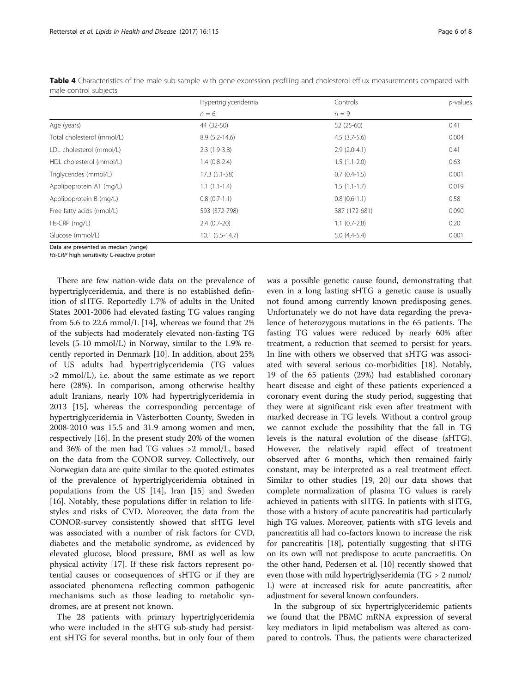|                            | Hypertriglyceridemia | Controls       | $p$ -values |  |
|----------------------------|----------------------|----------------|-------------|--|
|                            | $n = 6$              | $n = 9$        |             |  |
| Age (years)                | 44 (32-50)           | 52 (25-60)     | 0.41        |  |
| Total cholesterol (mmol/L) | $8.9(5.2-14.6)$      | $4.5(3.7-5.6)$ | 0.004       |  |
| LDL cholesterol (mmol/L)   | $2.3(1.9-3.8)$       | $2.9(2.0-4.1)$ | 0.41        |  |
| HDL cholesterol (mmol/L)   | $1.4(0.8-2.4)$       | $1.5(1.1-2.0)$ | 0.63        |  |
| Triglycerides (mmol/L)     | $17.3(5.1-58)$       | $0.7(0.4-1.5)$ | 0.001       |  |
| Apolipoprotein A1 (mg/L)   | $1.1(1.1-1.4)$       | $1.5(1.1-1.7)$ | 0.019       |  |
| Apolipoprotein B (mg/L)    | $0.8(0.7-1.1)$       | $0.8(0.6-1.1)$ | 0.58        |  |
| Free fatty acids (nmol/L)  | 593 (372-798)        | 387 (172-681)  | 0.090       |  |
| Hs-CRP (mg/L)              | $2.4(0.7-20)$        | $1.1(0.7-2.8)$ | 0.20        |  |
| Glucose (mmol/L)           | $10.1 (5.5 - 14.7)$  | $5.0(4.4-5.4)$ | 0.001       |  |

<span id="page-5-0"></span>Table 4 Characteristics of the male sub-sample with gene expression profiling and cholesterol efflux measurements compared with male control subjects

Data are presented as median (range)

Hs-CRP high sensitivity C-reactive protein

There are few nation-wide data on the prevalence of hypertriglyceridemia, and there is no established definition of sHTG. Reportedly 1.7% of adults in the United States 2001-2006 had elevated fasting TG values ranging from 5.6 to 22.6 mmol/L [[14\]](#page-7-0), whereas we found that 2% of the subjects had moderately elevated non-fasting TG levels (5-10 mmol/L) in Norway, similar to the 1.9% recently reported in Denmark [\[10\]](#page-7-0). In addition, about 25% of US adults had hypertriglyceridemia (TG values >2 mmol/L), i.e. about the same estimate as we report here (28%). In comparison, among otherwise healthy adult Iranians, nearly 10% had hypertriglyceridemia in 2013 [[15\]](#page-7-0), whereas the corresponding percentage of hypertriglyceridemia in Västerbotten County, Sweden in 2008-2010 was 15.5 and 31.9 among women and men, respectively [\[16](#page-7-0)]. In the present study 20% of the women and 36% of the men had TG values >2 mmol/L, based on the data from the CONOR survey. Collectively, our Norwegian data are quite similar to the quoted estimates of the prevalence of hypertriglyceridemia obtained in populations from the US [\[14](#page-7-0)], Iran [\[15](#page-7-0)] and Sweden [[16\]](#page-7-0). Notably, these populations differ in relation to lifestyles and risks of CVD. Moreover, the data from the CONOR-survey consistently showed that sHTG level was associated with a number of risk factors for CVD, diabetes and the metabolic syndrome, as evidenced by elevated glucose, blood pressure, BMI as well as low physical activity [[17\]](#page-7-0). If these risk factors represent potential causes or consequences of sHTG or if they are associated phenomena reflecting common pathogenic mechanisms such as those leading to metabolic syndromes, are at present not known.

The 28 patients with primary hypertriglyceridemia who were included in the sHTG sub-study had persistent sHTG for several months, but in only four of them was a possible genetic cause found, demonstrating that even in a long lasting sHTG a genetic cause is usually not found among currently known predisposing genes. Unfortunately we do not have data regarding the prevalence of heterozygous mutations in the 65 patients. The fasting TG values were reduced by nearly 60% after treatment, a reduction that seemed to persist for years. In line with others we observed that sHTG was associated with several serious co-morbidities [\[18\]](#page-7-0). Notably, 19 of the 65 patients (29%) had established coronary heart disease and eight of these patients experienced a coronary event during the study period, suggesting that they were at significant risk even after treatment with marked decrease in TG levels. Without a control group we cannot exclude the possibility that the fall in TG levels is the natural evolution of the disease (sHTG). However, the relatively rapid effect of treatment observed after 6 months, which then remained fairly constant, may be interpreted as a real treatment effect. Similar to other studies [[19](#page-7-0), [20\]](#page-7-0) our data shows that complete normalization of plasma TG values is rarely achieved in patients with sHTG. In patients with sHTG, those with a history of acute pancreatitis had particularly high TG values. Moreover, patients with sTG levels and pancreatitis all had co-factors known to increase the risk for pancreatitis [[18](#page-7-0)], potentially suggesting that sHTG on its own will not predispose to acute pancraetitis. On the other hand, Pedersen et al. [\[10](#page-7-0)] recently showed that even those with mild hypertriglyseridemia (TG > 2 mmol/ L) were at increased risk for acute pancreatitis, after adjustment for several known confounders.

In the subgroup of six hypertriglyceridemic patients we found that the PBMC mRNA expression of several key mediators in lipid metabolism was altered as compared to controls. Thus, the patients were characterized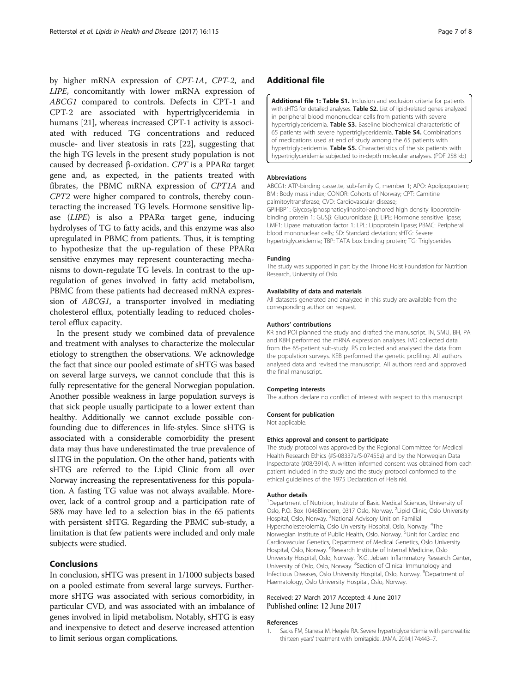<span id="page-6-0"></span>by higher mRNA expression of CPT-1A, CPT-2, and LIPE, concomitantly with lower mRNA expression of ABCG1 compared to controls. Defects in CPT-1 and CPT-2 are associated with hypertriglyceridemia in humans [\[21](#page-7-0)], whereas increased CPT-1 activity is associated with reduced TG concentrations and reduced muscle- and liver steatosis in rats [\[22\]](#page-7-0), suggesting that the high TG levels in the present study population is not caused by decreased β-oxidation. CPT is a PPARα target gene and, as expected, in the patients treated with fibrates, the PBMC mRNA expression of CPT1A and CPT2 were higher compared to controls, thereby counteracting the increased TG levels. Hormone sensitive lipase (LIPE) is also a PPARα target gene, inducing hydrolyses of TG to fatty acids, and this enzyme was also upregulated in PBMC from patients. Thus, it is tempting to hypothesize that the up-regulation of these PPARα sensitive enzymes may represent counteracting mechanisms to down-regulate TG levels. In contrast to the upregulation of genes involved in fatty acid metabolism, PBMC from these patients had decreased mRNA expression of ABCG1, a transporter involved in mediating cholesterol efflux, potentially leading to reduced cholesterol efflux capacity.

In the present study we combined data of prevalence and treatment with analyses to characterize the molecular etiology to strengthen the observations. We acknowledge the fact that since our pooled estimate of sHTG was based on several large surveys, we cannot conclude that this is fully representative for the general Norwegian population. Another possible weakness in large population surveys is that sick people usually participate to a lower extent than healthy. Additionally we cannot exclude possible confounding due to differences in life-styles. Since sHTG is associated with a considerable comorbidity the present data may thus have underestimated the true prevalence of sHTG in the population. On the other hand, patients with sHTG are referred to the Lipid Clinic from all over Norway increasing the representativeness for this population. A fasting TG value was not always available. Moreover, lack of a control group and a participation rate of 58% may have led to a selection bias in the 65 patients with persistent sHTG. Regarding the PBMC sub-study, a limitation is that few patients were included and only male subjects were studied.

## Conclusions

In conclusion, sHTG was present in 1/1000 subjects based on a pooled estimate from several large surveys. Furthermore sHTG was associated with serious comorbidity, in particular CVD, and was associated with an imbalance of genes involved in lipid metabolism. Notably, sHTG is easy and inexpensive to detect and deserve increased attention to limit serious organ complications.

### Additional file

[Additional file 1: Table S1.](dx.doi.org/10.1186/s12944-017-0511-9) Inclusion and exclusion criteria for patients with sHTG for detailed analyses. Table S2. List of lipid-related genes analyzed in peripheral blood mononuclear cells from patients with severe hypertriglyceridemia. Table S3. Baseline biochemical characteristic of 65 patients with severe hypertriglyceridemia. Table S4. Combinations of medications used at end of study among the 65 patients with hypertriglyceridemia. Table S5. Characteristics of the six patients with hypertriglyceridemia subjected to in-depth molecular analyses. (PDF 258 kb)

#### Abbreviations

ABCG1: ATP-binding cassette, sub-family G, member 1; APO: Apolipoprotein; BMI: Body mass index; CONOR: Cohorts of Norway; CPT: Carnitine palmitoyltransferase; CVD: Cardiovascular disease; GPIHBP1: Glycosylphosphatidylinositol-anchored high density lipoproteinbinding protein 1; GUSβ: Glucuronidase β; LIPE: Hormone sensitive lipase; LMF1: Lipase maturation factor 1; LPL: Lipoprotein lipase; PBMC: Peripheral blood mononuclear cells; SD: Standard deviation; sHTG: Severe hypertriglyceridemia; TBP: TATA box binding protein; TG: Triglycerides

#### Funding

The study was supported in part by the Throne Holst Foundation for Nutrition Research, University of Oslo.

#### Availability of data and materials

All datasets generated and analyzed in this study are available from the corresponding author on request.

#### Authors' contributions

KR and POI planned the study and drafted the manuscript. IN, SMU, BH, PA and KBH performed the mRNA expression analyses. IVO collected data from the 65-patient sub-study. RS collected and analysed the data from the population surveys. KEB performed the genetic profiling. All authors analysed data and revised the manuscript. All authors read and approved the final manuscript.

#### Competing interests

The authors declare no conflict of interest with respect to this manuscript.

#### Consent for publication

Not applicable.

#### Ethics approval and consent to participate

The study protocol was approved by the Regional Committee for Medical Health Research Ethics (#S-08337a/S-07455a) and by the Norwegian Data Inspectorate (#08/3914). A written informed consent was obtained from each patient included in the study and the study protocol conformed to the ethical guidelines of the 1975 Declaration of Helsinki.

#### Author details

<sup>1</sup>Department of Nutrition, Institute of Basic Medical Sciences, University of Oslo, P.O. Box 1046Blindern, 0317 Oslo, Norway. <sup>2</sup>Lipid Clinic, Oslo University Hospital, Oslo, Norway. <sup>3</sup>National Advisory Unit on Familial Hypercholesterolemia, Oslo University Hospital, Oslo, Norway. <sup>4</sup>The Norwegian Institute of Public Health, Oslo, Norway. <sup>5</sup>Unit for Cardiac and Cardiovascular Genetics, Department of Medical Genetics, Oslo University Hospital, Oslo, Norway. <sup>6</sup>Research Institute of Internal Medicine, Oslo University Hospital, Oslo, Norway. <sup>7</sup>K.G. Jebsen Inflammatory Research Center, University of Oslo, Oslo, Norway. <sup>8</sup>Section of Clinical Immunology and Infectious Diseases, Oslo University Hospital, Oslo, Norway. <sup>9</sup>Department of Haematology, Oslo University Hospital, Oslo, Norway.

#### Received: 27 March 2017 Accepted: 4 June 2017 Published online: 12 June 2017

#### References

1. Sacks FM, Stanesa M, Hegele RA. Severe hypertriglyceridemia with pancreatitis: thirteen years' treatment with lomitapide. JAMA. 2014;174:443–7.